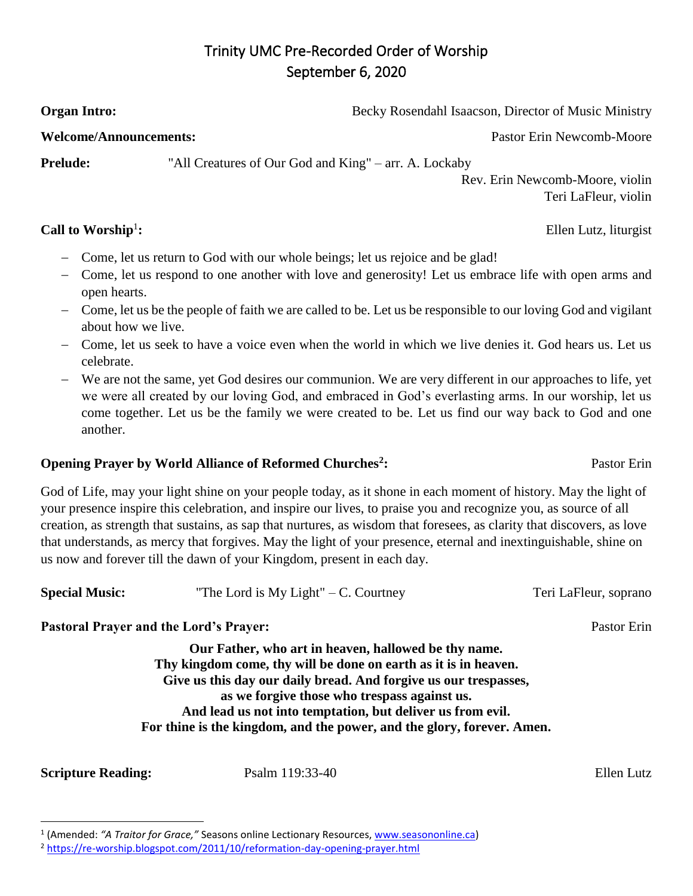## Trinity UMC Pre-Recorded Order of Worship September 6, 2020

**Call to Worship<sup>1</sup>:** 

**Prelude:** "All Creatures of Our God and King" – arr. A. Lockaby

**Organ Intro: Becky Rosendahl Isaacson, Director of Music Ministry** 

**Welcome/Announcements:** Pastor Erin Newcomb-Moore

Rev. Erin Newcomb-Moore, violin Teri LaFleur, violin

**:** Ellen Lutz, liturgist

- Come, let us return to God with our whole beings; let us rejoice and be glad!
- Come, let us respond to one another with love and generosity! Let us embrace life with open arms and open hearts.
- Come, let us be the people of faith we are called to be. Let us be responsible to our loving God and vigilant about how we live.
- Come, let us seek to have a voice even when the world in which we live denies it. God hears us. Let us celebrate.
- We are not the same, yet God desires our communion. We are very different in our approaches to life, yet we were all created by our loving God, and embraced in God's everlasting arms. In our worship, let us come together. Let us be the family we were created to be. Let us find our way back to God and one another.

## **Opening Prayer by World Alliance of Reformed Churches<sup>2</sup>**

God of Life, may your light shine on your people today, as it shone in each moment of history. May the light of your presence inspire this celebration, and inspire our lives, to praise you and recognize you, as source of all creation, as strength that sustains, as sap that nurtures, as wisdom that foresees, as clarity that discovers, as love that understands, as mercy that forgives. May the light of your presence, eternal and inextinguishable, shine on us now and forever till the dawn of your Kingdom, present in each day.

| <b>Special Music:</b><br>"The Lord is My Light" $-$ C. Courtney | Teri LaFleur, soprano |
|-----------------------------------------------------------------|-----------------------|
|-----------------------------------------------------------------|-----------------------|

## **Pastoral Prayer and the Lord's Prayer:** Pastor Erin

**Our Father, who art in heaven, hallowed be thy name. Thy kingdom come, thy will be done on earth as it is in heaven. Give us this day our daily bread. And forgive us our trespasses, as we forgive those who trespass against us. And lead us not into temptation, but deliver us from evil. For thine is the kingdom, and the power, and the glory, forever. Amen.**

**Scripture Reading:** Psalm 119:33-40 Ellen Lutz

l

**:** Pastor Erin

<sup>&</sup>lt;sup>1</sup> (Amended: "A *Traitor for Grace,"* Seasons online Lectionary Resources, [www.seasononline.ca\)](http://www.seasononline.ca/)

<sup>&</sup>lt;sup>2</sup> <https://re-worship.blogspot.com/2011/10/reformation-day-opening-prayer.html>